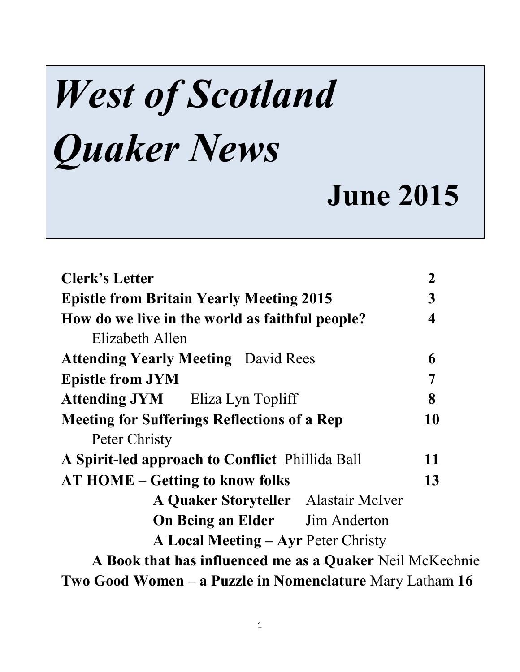# *West of Scotland Quaker News*

## **June 2015**

| <b>Clerk's Letter</b>                                    | $\overline{2}$          |
|----------------------------------------------------------|-------------------------|
| <b>Epistle from Britain Yearly Meeting 2015</b>          | 3                       |
| How do we live in the world as faithful people?          | $\overline{\mathbf{4}}$ |
| Elizabeth Allen                                          |                         |
| <b>Attending Yearly Meeting</b> David Rees               | 6                       |
| <b>Epistle from JYM</b>                                  | 7                       |
| <b>Attending JYM</b> Eliza Lyn Topliff                   | 8                       |
| <b>Meeting for Sufferings Reflections of a Rep</b>       | 10                      |
| Peter Christy                                            |                         |
| A Spirit-led approach to Conflict Phillida Ball          | 11                      |
| <b>AT HOME – Getting to know folks</b>                   | 13                      |
| A Quaker Storyteller Alastair McIver                     |                         |
| <b>On Being an Elder</b> Jim Anderton                    |                         |
| <b>A Local Meeting – Ayr Peter Christy</b>               |                         |
| A Book that has influenced me as a Quaker Neil McKechnie |                         |
| Two Good Women – a Puzzle in Nomenclature Mary Latham 16 |                         |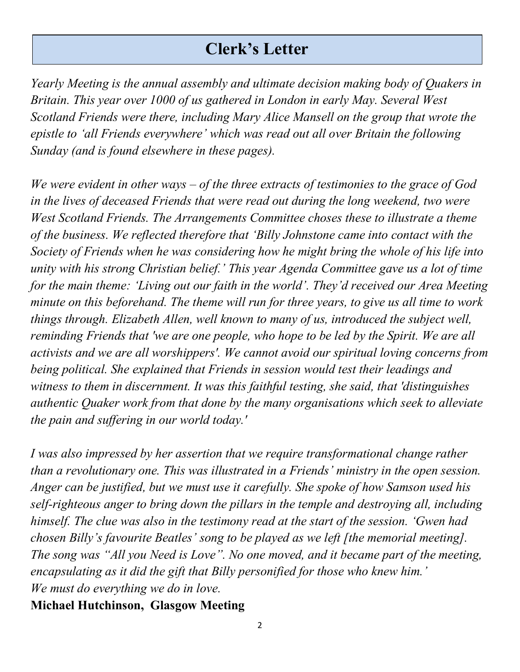#### **Clerk's Letter**

*Yearly Meeting is the annual assembly and ultimate decision making body of Quakers in Britain. This year over 1000 of us gathered in London in early May. Several West Scotland Friends were there, including Mary Alice Mansell on the group that wrote the epistle to 'all Friends everywhere' which was read out all over Britain the following Sunday (and is found elsewhere in these pages).*

*We were evident in other ways – of the three extracts of testimonies to the grace of God in the lives of deceased Friends that were read out during the long weekend, two were West Scotland Friends. The Arrangements Committee choses these to illustrate a theme of the business. We reflected therefore that 'Billy Johnstone came into contact with the Society of Friends when he was considering how he might bring the whole of his life into unity with his strong Christian belief.' This year Agenda Committee gave us a lot of time for the main theme: 'Living out our faith in the world'. They'd received our Area Meeting minute on this beforehand. The theme will run for three years, to give us all time to work things through. Elizabeth Allen, well known to many of us, introduced the subject well, reminding Friends that 'we are one people, who hope to be led by the Spirit. We are all activists and we are all worshippers'. We cannot avoid our spiritual loving concerns from being political. She explained that Friends in session would test their leadings and witness to them in discernment. It was this faithful testing, she said, that 'distinguishes authentic Quaker work from that done by the many organisations which seek to alleviate the pain and suffering in our world today.'* 

*I was also impressed by her assertion that we require transformational change rather than a revolutionary one. This was illustrated in a Friends' ministry in the open session. Anger can be justified, but we must use it carefully. She spoke of how Samson used his self-righteous anger to bring down the pillars in the temple and destroying all, including himself. The clue was also in the testimony read at the start of the session. 'Gwen had chosen Billy's favourite Beatles' song to be played as we left [the memorial meeting]. The song was "All you Need is Love". No one moved, and it became part of the meeting, encapsulating as it did the gift that Billy personified for those who knew him.' We must do everything we do in love.*

**Michael Hutchinson, Glasgow Meeting**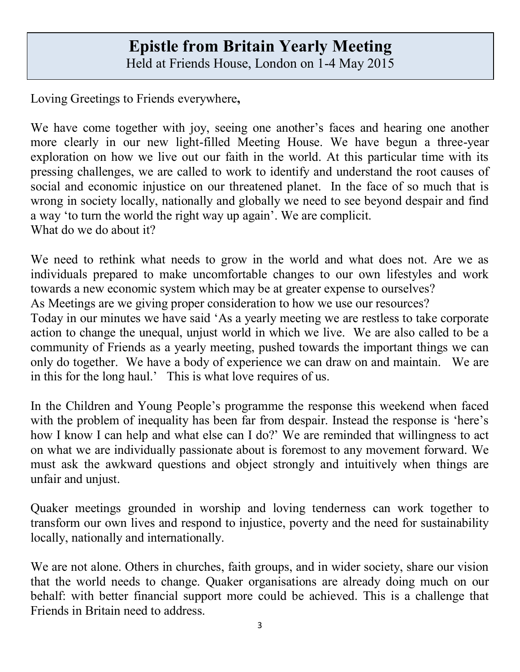#### **Epistle from Britain Yearly Meeting** Held at Friends House, London on 1-4 May 2015

Loving Greetings to Friends everywhere**,**

We have come together with joy, seeing one another's faces and hearing one another more clearly in our new light-filled Meeting House. We have begun a three-year exploration on how we live out our faith in the world. At this particular time with its pressing challenges, we are called to work to identify and understand the root causes of social and economic injustice on our threatened planet. In the face of so much that is wrong in society locally, nationally and globally we need to see beyond despair and find a way 'to turn the world the right way up again'. We are complicit. What do we do about it?

We need to rethink what needs to grow in the world and what does not. Are we as individuals prepared to make uncomfortable changes to our own lifestyles and work towards a new economic system which may be at greater expense to ourselves?

As Meetings are we giving proper consideration to how we use our resources?

Today in our minutes we have said 'As a yearly meeting we are restless to take corporate action to change the unequal, unjust world in which we live. We are also called to be a community of Friends as a yearly meeting, pushed towards the important things we can only do together. We have a body of experience we can draw on and maintain. We are in this for the long haul.' This is what love requires of us.

In the Children and Young People's programme the response this weekend when faced with the problem of inequality has been far from despair. Instead the response is 'here's how I know I can help and what else can I do?' We are reminded that willingness to act on what we are individually passionate about is foremost to any movement forward. We must ask the awkward questions and object strongly and intuitively when things are unfair and unjust.

Quaker meetings grounded in worship and loving tenderness can work together to transform our own lives and respond to injustice, poverty and the need for sustainability locally, nationally and internationally.

We are not alone. Others in churches, faith groups, and in wider society, share our vision that the world needs to change. Quaker organisations are already doing much on our behalf: with better financial support more could be achieved. This is a challenge that Friends in Britain need to address.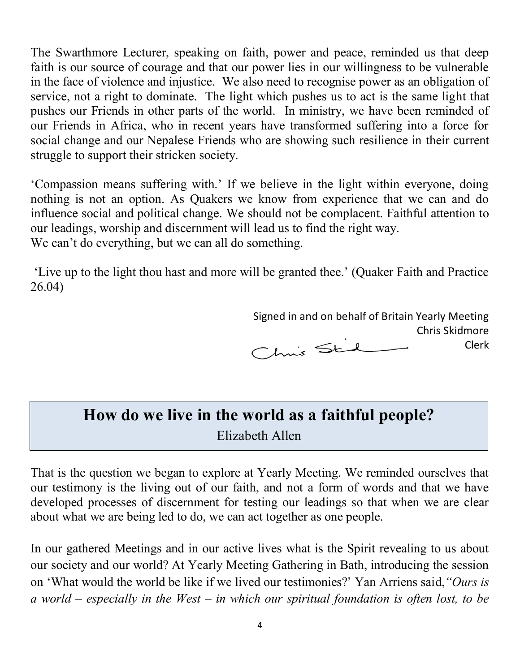The Swarthmore Lecturer, speaking on faith, power and peace, reminded us that deep faith is our source of courage and that our power lies in our willingness to be vulnerable in the face of violence and injustice. We also need to recognise power as an obligation of service, not a right to dominate. The light which pushes us to act is the same light that pushes our Friends in other parts of the world. In ministry, we have been reminded of our Friends in Africa, who in recent years have transformed suffering into a force for social change and our Nepalese Friends who are showing such resilience in their current struggle to support their stricken society.

'Compassion means suffering with.' If we believe in the light within everyone, doing nothing is not an option. As Quakers we know from experience that we can and do influence social and political change. We should not be complacent. Faithful attention to our leadings, worship and discernment will lead us to find the right way. We can't do everything, but we can all do something.

'Live up to the light thou hast and more will be granted thee.' (Quaker Faith and Practice 26.04)

> Signed in and on behalf of Britain Yearly Meeting Chris Skidmore Chris Sted Clerk

#### **How do we live in the world as a faithful people?** Elizabeth Allen

That is the question we began to explore at Yearly Meeting. We reminded ourselves that our testimony is the living out of our faith, and not a form of words and that we have developed processes of discernment for testing our leadings so that when we are clear about what we are being led to do, we can act together as one people.

In our gathered Meetings and in our active lives what is the Spirit revealing to us about our society and our world? At Yearly Meeting Gathering in Bath, introducing the session on 'What would the world be like if we lived our testimonies?' Yan Arriens said,*"Ours is a world – especially in the West – in which our spiritual foundation is often lost, to be*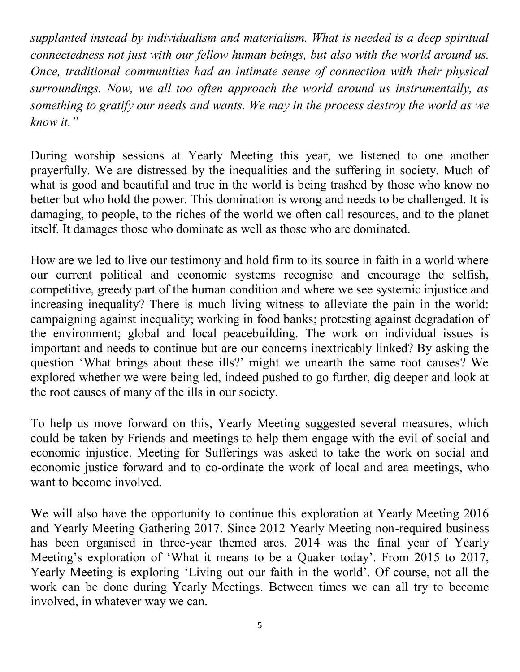*supplanted instead by individualism and materialism. What is needed is a deep spiritual connectedness not just with our fellow human beings, but also with the world around us. Once, traditional communities had an intimate sense of connection with their physical surroundings. Now, we all too often approach the world around us instrumentally, as something to gratify our needs and wants. We may in the process destroy the world as we know it."*

During worship sessions at Yearly Meeting this year, we listened to one another prayerfully. We are distressed by the inequalities and the suffering in society. Much of what is good and beautiful and true in the world is being trashed by those who know no better but who hold the power. This domination is wrong and needs to be challenged. It is damaging, to people, to the riches of the world we often call resources, and to the planet itself. It damages those who dominate as well as those who are dominated.

How are we led to live our testimony and hold firm to its source in faith in a world where our current political and economic systems recognise and encourage the selfish, competitive, greedy part of the human condition and where we see systemic injustice and increasing inequality? There is much living witness to alleviate the pain in the world: campaigning against inequality; working in food banks; protesting against degradation of the environment; global and local peacebuilding. The work on individual issues is important and needs to continue but are our concerns inextricably linked? By asking the question 'What brings about these ills?' might we unearth the same root causes? We explored whether we were being led, indeed pushed to go further, dig deeper and look at the root causes of many of the ills in our society.

To help us move forward on this, Yearly Meeting suggested several measures, which could be taken by Friends and meetings to help them engage with the evil of social and economic injustice. Meeting for Sufferings was asked to take the work on social and economic justice forward and to co-ordinate the work of local and area meetings, who want to become involved.

We will also have the opportunity to continue this exploration at Yearly Meeting 2016 and Yearly Meeting Gathering 2017. Since 2012 Yearly Meeting non-required business has been organised in three-year themed arcs. 2014 was the final year of Yearly Meeting's exploration of 'What it means to be a Quaker today'. From 2015 to 2017, Yearly Meeting is exploring 'Living out our faith in the world'. Of course, not all the work can be done during Yearly Meetings. Between times we can all try to become involved, in whatever way we can.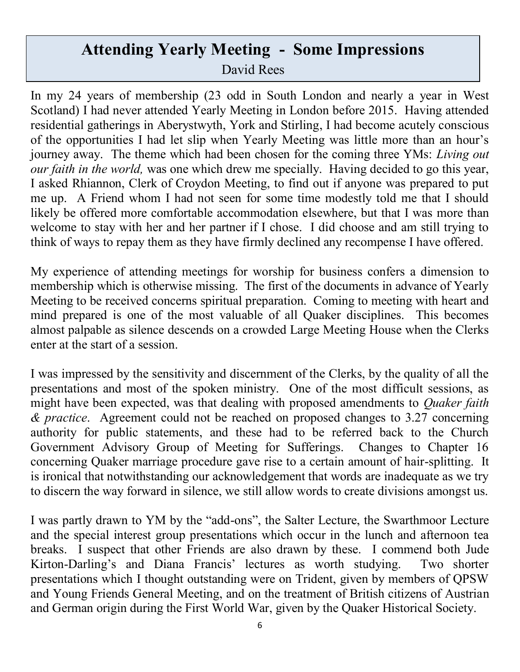#### **Attending Yearly Meeting - Some Impressions** David Rees

In my 24 years of membership (23 odd in South London and nearly a year in West Scotland) I had never attended Yearly Meeting in London before 2015. Having attended residential gatherings in Aberystwyth, York and Stirling, I had become acutely conscious of the opportunities I had let slip when Yearly Meeting was little more than an hour's journey away. The theme which had been chosen for the coming three YMs: *Living out our faith in the world,* was one which drew me specially. Having decided to go this year, I asked Rhiannon, Clerk of Croydon Meeting, to find out if anyone was prepared to put me up. A Friend whom I had not seen for some time modestly told me that I should likely be offered more comfortable accommodation elsewhere, but that I was more than welcome to stay with her and her partner if I chose. I did choose and am still trying to think of ways to repay them as they have firmly declined any recompense I have offered.

My experience of attending meetings for worship for business confers a dimension to membership which is otherwise missing. The first of the documents in advance of Yearly Meeting to be received concerns spiritual preparation. Coming to meeting with heart and mind prepared is one of the most valuable of all Quaker disciplines. This becomes almost palpable as silence descends on a crowded Large Meeting House when the Clerks enter at the start of a session.

I was impressed by the sensitivity and discernment of the Clerks, by the quality of all the presentations and most of the spoken ministry. One of the most difficult sessions, as might have been expected, was that dealing with proposed amendments to *Quaker faith & practice*. Agreement could not be reached on proposed changes to 3.27 concerning authority for public statements, and these had to be referred back to the Church Government Advisory Group of Meeting for Sufferings. Changes to Chapter 16 concerning Quaker marriage procedure gave rise to a certain amount of hair-splitting. It is ironical that notwithstanding our acknowledgement that words are inadequate as we try to discern the way forward in silence, we still allow words to create divisions amongst us.

I was partly drawn to YM by the "add-ons", the Salter Lecture, the Swarthmoor Lecture and the special interest group presentations which occur in the lunch and afternoon tea breaks. I suspect that other Friends are also drawn by these. I commend both Jude Kirton-Darling's and Diana Francis' lectures as worth studying. Two shorter presentations which I thought outstanding were on Trident, given by members of QPSW and Young Friends General Meeting, and on the treatment of British citizens of Austrian and German origin during the First World War, given by the Quaker Historical Society.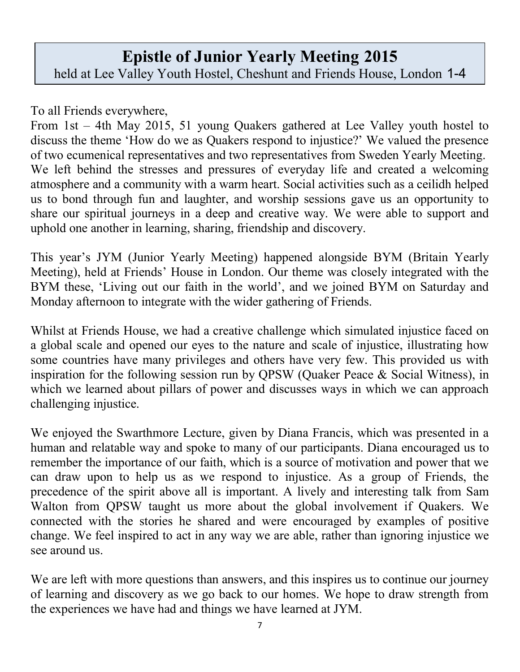#### **Epistle of Junior Yearly Meeting 2015** held at Lee Valley Youth Hostel, Cheshunt and Friends House, London 1-4

May, 2015

To all Friends everywhere,

From 1st – 4th May 2015, 51 young Quakers gathered at Lee Valley youth hostel to discuss the theme 'How do we as Quakers respond to injustice?' We valued the presence of two ecumenical representatives and two representatives from Sweden Yearly Meeting. We left behind the stresses and pressures of everyday life and created a welcoming atmosphere and a community with a warm heart. Social activities such as a ceilidh helped us to bond through fun and laughter, and worship sessions gave us an opportunity to share our spiritual journeys in a deep and creative way. We were able to support and uphold one another in learning, sharing, friendship and discovery.

This year's JYM (Junior Yearly Meeting) happened alongside BYM (Britain Yearly Meeting), held at Friends' House in London. Our theme was closely integrated with the BYM these, 'Living out our faith in the world', and we joined BYM on Saturday and Monday afternoon to integrate with the wider gathering of Friends.

Whilst at Friends House, we had a creative challenge which simulated injustice faced on a global scale and opened our eyes to the nature and scale of injustice, illustrating how some countries have many privileges and others have very few. This provided us with inspiration for the following session run by QPSW (Quaker Peace & Social Witness), in which we learned about pillars of power and discusses ways in which we can approach challenging injustice.

We enjoyed the Swarthmore Lecture, given by Diana Francis, which was presented in a human and relatable way and spoke to many of our participants. Diana encouraged us to remember the importance of our faith, which is a source of motivation and power that we can draw upon to help us as we respond to injustice. As a group of Friends, the precedence of the spirit above all is important. A lively and interesting talk from Sam Walton from QPSW taught us more about the global involvement if Quakers. We connected with the stories he shared and were encouraged by examples of positive change. We feel inspired to act in any way we are able, rather than ignoring injustice we see around us.

We are left with more questions than answers, and this inspires us to continue our journey of learning and discovery as we go back to our homes. We hope to draw strength from the experiences we have had and things we have learned at JYM.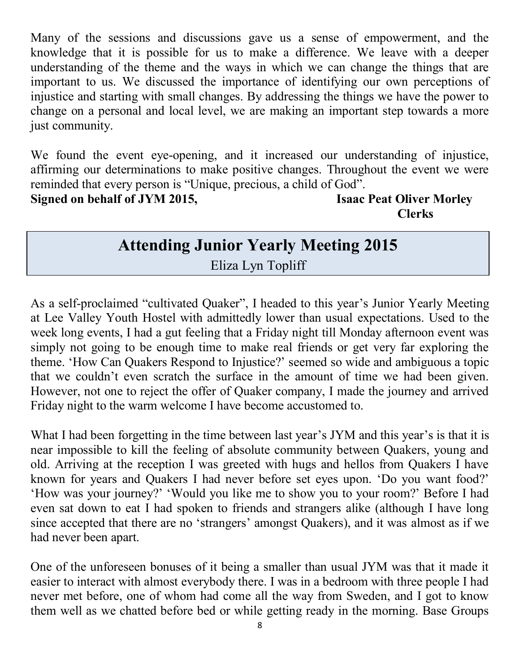Many of the sessions and discussions gave us a sense of empowerment, and the knowledge that it is possible for us to make a difference. We leave with a deeper understanding of the theme and the ways in which we can change the things that are important to us. We discussed the importance of identifying our own perceptions of injustice and starting with small changes. By addressing the things we have the power to change on a personal and local level, we are making an important step towards a more just community.

We found the event eye-opening, and it increased our understanding of injustice, affirming our determinations to make positive changes. Throughout the event we were reminded that every person is "Unique, precious, a child of God". **Signed on behalf of JYM 2015, Isaac Peat Oliver Morley** 

**Clerks**

### **Attending Junior Yearly Meeting 2015**

Eliza Lyn Topliff

As a self-proclaimed "cultivated Quaker", I headed to this year's Junior Yearly Meeting at Lee Valley Youth Hostel with admittedly lower than usual expectations. Used to the week long events, I had a gut feeling that a Friday night till Monday afternoon event was simply not going to be enough time to make real friends or get very far exploring the theme. 'How Can Quakers Respond to Injustice?' seemed so wide and ambiguous a topic that we couldn't even scratch the surface in the amount of time we had been given. However, not one to reject the offer of Quaker company, I made the journey and arrived Friday night to the warm welcome I have become accustomed to.

What I had been forgetting in the time between last year's JYM and this year's is that it is near impossible to kill the feeling of absolute community between Quakers, young and old. Arriving at the reception I was greeted with hugs and hellos from Quakers I have known for years and Quakers I had never before set eyes upon. 'Do you want food?' 'How was your journey?' 'Would you like me to show you to your room?' Before I had even sat down to eat I had spoken to friends and strangers alike (although I have long since accepted that there are no 'strangers' amongst Quakers), and it was almost as if we had never been apart.

One of the unforeseen bonuses of it being a smaller than usual JYM was that it made it easier to interact with almost everybody there. I was in a bedroom with three people I had never met before, one of whom had come all the way from Sweden, and I got to know them well as we chatted before bed or while getting ready in the morning. Base Groups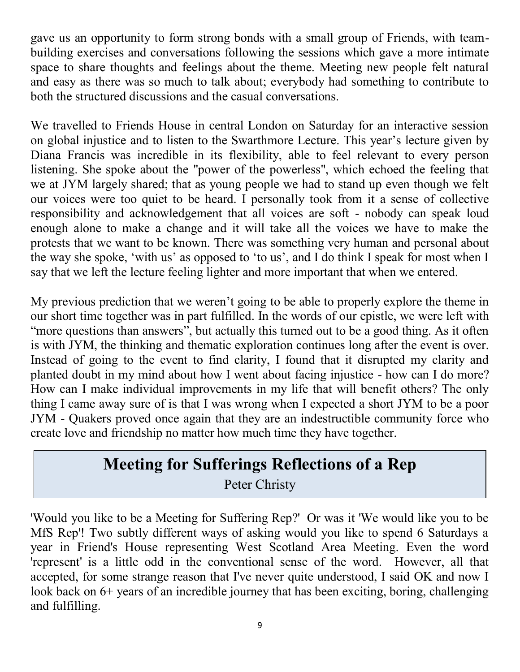gave us an opportunity to form strong bonds with a small group of Friends, with teambuilding exercises and conversations following the sessions which gave a more intimate space to share thoughts and feelings about the theme. Meeting new people felt natural and easy as there was so much to talk about; everybody had something to contribute to both the structured discussions and the casual conversations.

We travelled to Friends House in central London on Saturday for an interactive session on global injustice and to listen to the Swarthmore Lecture. This year's lecture given by Diana Francis was incredible in its flexibility, able to feel relevant to every person listening. She spoke about the "power of the powerless", which echoed the feeling that we at JYM largely shared; that as young people we had to stand up even though we felt our voices were too quiet to be heard. I personally took from it a sense of collective responsibility and acknowledgement that all voices are soft - nobody can speak loud enough alone to make a change and it will take all the voices we have to make the protests that we want to be known. There was something very human and personal about the way she spoke, 'with us' as opposed to 'to us', and I do think I speak for most when I say that we left the lecture feeling lighter and more important that when we entered.

My previous prediction that we weren't going to be able to properly explore the theme in our short time together was in part fulfilled. In the words of our epistle, we were left with "more questions than answers", but actually this turned out to be a good thing. As it often is with JYM, the thinking and thematic exploration continues long after the event is over. Instead of going to the event to find clarity, I found that it disrupted my clarity and planted doubt in my mind about how I went about facing injustice - how can I do more? How can I make individual improvements in my life that will benefit others? The only thing I came away sure of is that I was wrong when I expected a short JYM to be a poor JYM - Quakers proved once again that they are an indestructible community force who create love and friendship no matter how much time they have together.

#### **Meeting for Sufferings Reflections of a Rep**

Peter Christy

'Would you like to be a Meeting for Suffering Rep?' Or was it 'We would like you to be MfS Rep'! Two subtly different ways of asking would you like to spend 6 Saturdays a year in Friend's House representing West Scotland Area Meeting. Even the word 'represent' is a little odd in the conventional sense of the word. However, all that accepted, for some strange reason that I've never quite understood, I said OK and now I look back on 6+ years of an incredible journey that has been exciting, boring, challenging and fulfilling.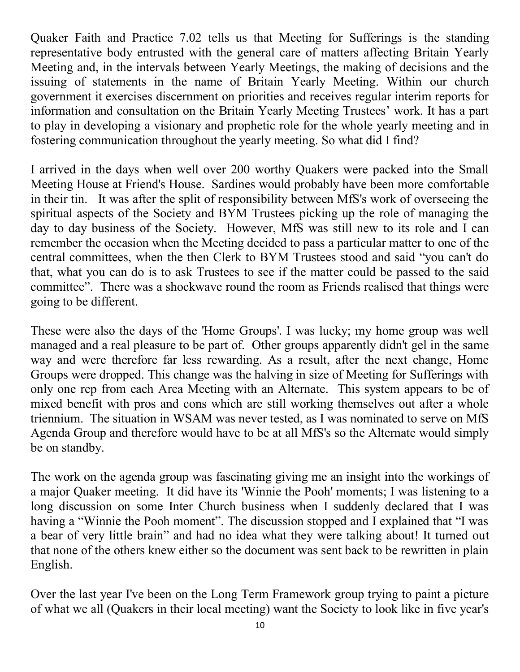Quaker Faith and Practice 7.02 tells us that Meeting for Sufferings is the standing representative body entrusted with the general care of matters affecting Britain Yearly Meeting and, in the intervals between Yearly Meetings, the making of decisions and the issuing of statements in the name of Britain Yearly Meeting. Within our church government it exercises discernment on priorities and receives regular interim reports for information and consultation on the Britain Yearly Meeting Trustees' work. It has a part to play in developing a visionary and prophetic role for the whole yearly meeting and in fostering communication throughout the yearly meeting. So what did I find?

I arrived in the days when well over 200 worthy Quakers were packed into the Small Meeting House at Friend's House. Sardines would probably have been more comfortable in their tin. It was after the split of responsibility between MfS's work of overseeing the spiritual aspects of the Society and BYM Trustees picking up the role of managing the day to day business of the Society. However, MfS was still new to its role and I can remember the occasion when the Meeting decided to pass a particular matter to one of the central committees, when the then Clerk to BYM Trustees stood and said "you can't do that, what you can do is to ask Trustees to see if the matter could be passed to the said committee". There was a shockwave round the room as Friends realised that things were going to be different.

These were also the days of the 'Home Groups'. I was lucky; my home group was well managed and a real pleasure to be part of. Other groups apparently didn't gel in the same way and were therefore far less rewarding. As a result, after the next change, Home Groups were dropped. This change was the halving in size of Meeting for Sufferings with only one rep from each Area Meeting with an Alternate. This system appears to be of mixed benefit with pros and cons which are still working themselves out after a whole triennium. The situation in WSAM was never tested, as I was nominated to serve on MfS Agenda Group and therefore would have to be at all MfS's so the Alternate would simply be on standby.

The work on the agenda group was fascinating giving me an insight into the workings of a major Quaker meeting. It did have its 'Winnie the Pooh' moments; I was listening to a long discussion on some Inter Church business when I suddenly declared that I was having a "Winnie the Pooh moment". The discussion stopped and I explained that "I was a bear of very little brain" and had no idea what they were talking about! It turned out that none of the others knew either so the document was sent back to be rewritten in plain English.

Over the last year I've been on the Long Term Framework group trying to paint a picture of what we all (Quakers in their local meeting) want the Society to look like in five year's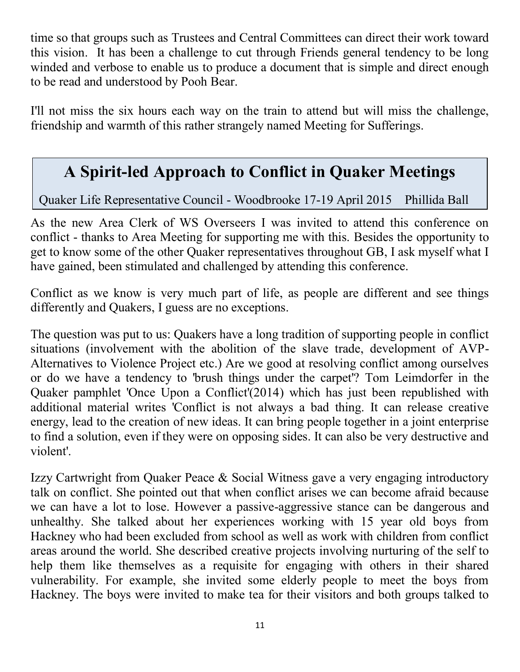time so that groups such as Trustees and Central Committees can direct their work toward this vision. It has been a challenge to cut through Friends general tendency to be long winded and verbose to enable us to produce a document that is simple and direct enough to be read and understood by Pooh Bear.

I'll not miss the six hours each way on the train to attend but will miss the challenge, friendship and warmth of this rather strangely named Meeting for Sufferings.

### **A Spirit-led Approach to Conflict in Quaker Meetings**

Quaker Life Representative Council - Woodbrooke 17-19 April 2015 Phillida Ball

As the new Area Clerk of WS Overseers I was invited to attend this conference on conflict - thanks to Area Meeting for supporting me with this. Besides the opportunity to get to know some of the other Quaker representatives throughout GB, I ask myself what I have gained, been stimulated and challenged by attending this conference.

Conflict as we know is very much part of life, as people are different and see things differently and Quakers, I guess are no exceptions.

The question was put to us: Quakers have a long tradition of supporting people in conflict situations (involvement with the abolition of the slave trade, development of AVP-Alternatives to Violence Project etc.) Are we good at resolving conflict among ourselves or do we have a tendency to 'brush things under the carpet'? Tom Leimdorfer in the Quaker pamphlet 'Once Upon a Conflict'(2014) which has just been republished with additional material writes 'Conflict is not always a bad thing. It can release creative energy, lead to the creation of new ideas. It can bring people together in a joint enterprise to find a solution, even if they were on opposing sides. It can also be very destructive and violent'.

Izzy Cartwright from Quaker Peace & Social Witness gave a very engaging introductory talk on conflict. She pointed out that when conflict arises we can become afraid because we can have a lot to lose. However a passive-aggressive stance can be dangerous and unhealthy. She talked about her experiences working with 15 year old boys from Hackney who had been excluded from school as well as work with children from conflict areas around the world. She described creative projects involving nurturing of the self to help them like themselves as a requisite for engaging with others in their shared vulnerability. For example, she invited some elderly people to meet the boys from Hackney. The boys were invited to make tea for their visitors and both groups talked to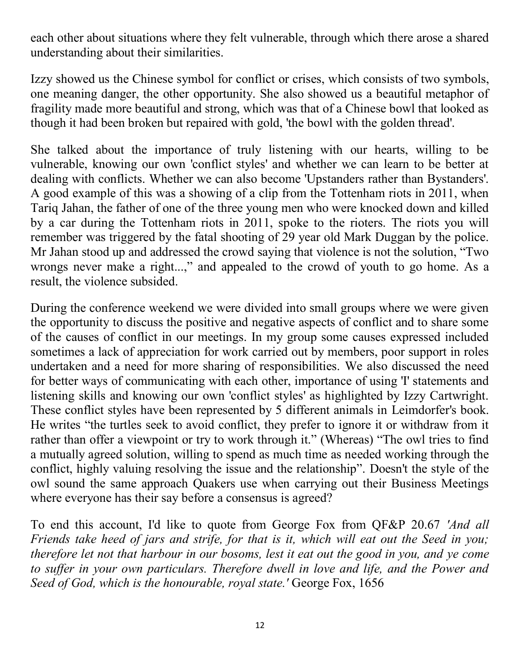each other about situations where they felt vulnerable, through which there arose a shared understanding about their similarities.

Izzy showed us the Chinese symbol for conflict or crises, which consists of two symbols, one meaning danger, the other opportunity. She also showed us a beautiful metaphor of fragility made more beautiful and strong, which was that of a Chinese bowl that looked as though it had been broken but repaired with gold, 'the bowl with the golden thread'.

She talked about the importance of truly listening with our hearts, willing to be vulnerable, knowing our own 'conflict styles' and whether we can learn to be better at dealing with conflicts. Whether we can also become 'Upstanders rather than Bystanders'. A good example of this was a showing of a clip from the Tottenham riots in 2011, when Tariq Jahan, the father of one of the three young men who were knocked down and killed by a car during the Tottenham riots in 2011, spoke to the rioters. The riots you will remember was triggered by the fatal shooting of 29 year old Mark Duggan by the police. Mr Jahan stood up and addressed the crowd saying that violence is not the solution, "Two wrongs never make a right...," and appealed to the crowd of youth to go home. As a result, the violence subsided.

During the conference weekend we were divided into small groups where we were given the opportunity to discuss the positive and negative aspects of conflict and to share some of the causes of conflict in our meetings. In my group some causes expressed included sometimes a lack of appreciation for work carried out by members, poor support in roles undertaken and a need for more sharing of responsibilities. We also discussed the need for better ways of communicating with each other, importance of using 'I' statements and listening skills and knowing our own 'conflict styles' as highlighted by Izzy Cartwright. These conflict styles have been represented by 5 different animals in Leimdorfer's book. He writes "the turtles seek to avoid conflict, they prefer to ignore it or withdraw from it rather than offer a viewpoint or try to work through it." (Whereas) "The owl tries to find a mutually agreed solution, willing to spend as much time as needed working through the conflict, highly valuing resolving the issue and the relationship". Doesn't the style of the owl sound the same approach Quakers use when carrying out their Business Meetings where everyone has their say before a consensus is agreed?

To end this account, I'd like to quote from George Fox from QF&P 20.67 *'And all Friends take heed of jars and strife, for that is it, which will eat out the Seed in you; therefore let not that harbour in our bosoms, lest it eat out the good in you, and ye come to suffer in your own particulars. Therefore dwell in love and life, and the Power and Seed of God, which is the honourable, royal state.'* George Fox, 1656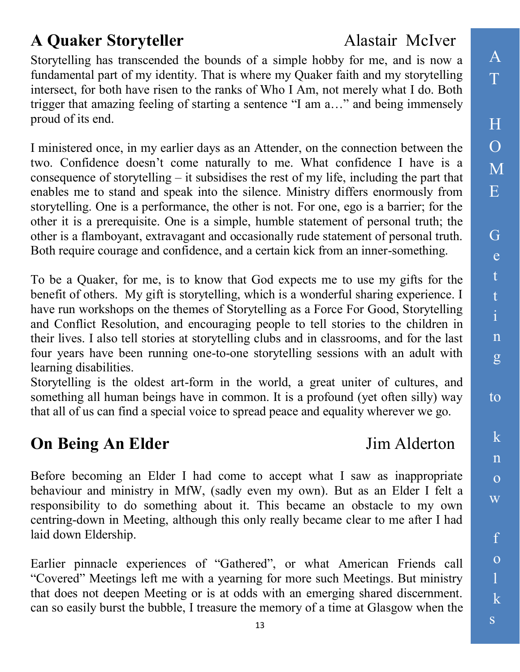### A **Quaker Storyteller** Alastair McIver

Storytelling has transcended the bounds of a simple hobby for me, and is now a fundamental part of my identity. That is where my Quaker faith and my storytelling intersect, for both have risen to the ranks of Who I Am, not merely what I do. Both trigger that amazing feeling of starting a sentence "I am a…" and being immensely proud of its end.

I ministered once, in my earlier days as an Attender, on the connection between the two. Confidence doesn't come naturally to me. What confidence I have is a consequence of storytelling – it subsidises the rest of my life, including the part that enables me to stand and speak into the silence. Ministry differs enormously from storytelling. One is a performance, the other is not. For one, ego is a barrier; for the other it is a prerequisite. One is a simple, humble statement of personal truth; the other is a flamboyant, extravagant and occasionally rude statement of personal truth. Both require courage and confidence, and a certain kick from an inner-something.

To be a Quaker, for me, is to know that God expects me to use my gifts for the benefit of others. My gift is storytelling, which is a wonderful sharing experience. I have run workshops on the themes of Storytelling as a Force For Good, Storytelling and Conflict Resolution, and encouraging people to tell stories to the children in their lives. I also tell stories at storytelling clubs and in classrooms, and for the last four years have been running one-to-one storytelling sessions with an adult with learning disabilities.

Storytelling is the oldest art-form in the world, a great uniter of cultures, and something all human beings have in common. It is a profound (yet often silly) way that all of us can find a special voice to spread peace and equality wherever we go.

### **On Being An Elder** Jim Alderton

Before becoming an Elder I had come to accept what I saw as inappropriate behaviour and ministry in MfW, (sadly even my own). But as an Elder I felt a responsibility to do something about it. This became an obstacle to my own centring-down in Meeting, although this only really became clear to me after I had laid down Eldership.

Earlier pinnacle experiences of "Gathered", or what American Friends call "Covered" Meetings left me with a yearning for more such Meetings. But ministry that does not deepen Meeting or is at odds with an emerging shared discernment. can so easily burst the bubble, I treasure the memory of a time at Glasgow when the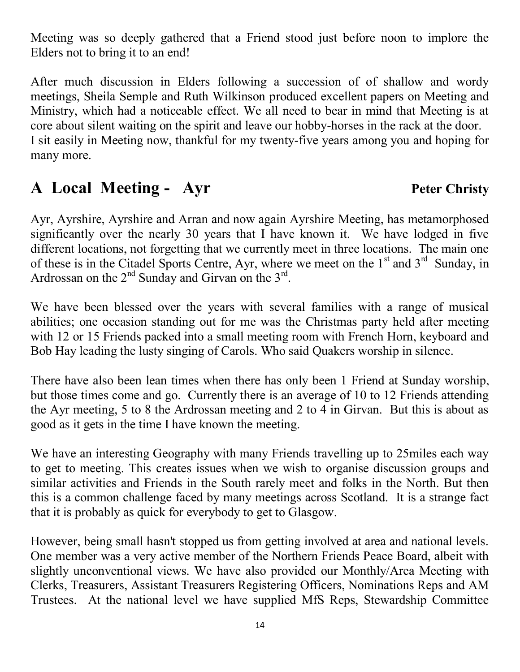Meeting was so deeply gathered that a Friend stood just before noon to implore the Elders not to bring it to an end!

After much discussion in Elders following a succession of of shallow and wordy meetings, Sheila Semple and Ruth Wilkinson produced excellent papers on Meeting and Ministry, which had a noticeable effect. We all need to bear in mind that Meeting is at core about silent waiting on the spirit and leave our hobby-horses in the rack at the door. I sit easily in Meeting now, thankful for my twenty-five years among you and hoping for many more.

#### **A Local Meeting - Ayr Peter Christy**

Ayr, Ayrshire, Ayrshire and Arran and now again Ayrshire Meeting, has metamorphosed significantly over the nearly 30 years that I have known it. We have lodged in five different locations, not forgetting that we currently meet in three locations. The main one of these is in the Citadel Sports Centre, Ayr, where we meet on the  $1<sup>st</sup>$  and  $3<sup>rd</sup>$  Sunday, in Ardrossan on the  $2<sup>nd</sup>$  Sunday and Girvan on the  $3<sup>rd</sup>$ .

We have been blessed over the years with several families with a range of musical abilities; one occasion standing out for me was the Christmas party held after meeting with 12 or 15 Friends packed into a small meeting room with French Horn, keyboard and Bob Hay leading the lusty singing of Carols. Who said Quakers worship in silence.

There have also been lean times when there has only been 1 Friend at Sunday worship, but those times come and go. Currently there is an average of 10 to 12 Friends attending the Ayr meeting, 5 to 8 the Ardrossan meeting and 2 to 4 in Girvan. But this is about as good as it gets in the time I have known the meeting.

We have an interesting Geography with many Friends travelling up to 25miles each way to get to meeting. This creates issues when we wish to organise discussion groups and similar activities and Friends in the South rarely meet and folks in the North. But then this is a common challenge faced by many meetings across Scotland. It is a strange fact that it is probably as quick for everybody to get to Glasgow.

However, being small hasn't stopped us from getting involved at area and national levels. One member was a very active member of the Northern Friends Peace Board, albeit with slightly unconventional views. We have also provided our Monthly/Area Meeting with Clerks, Treasurers, Assistant Treasurers Registering Officers, Nominations Reps and AM Trustees. At the national level we have supplied MfS Reps, Stewardship Committee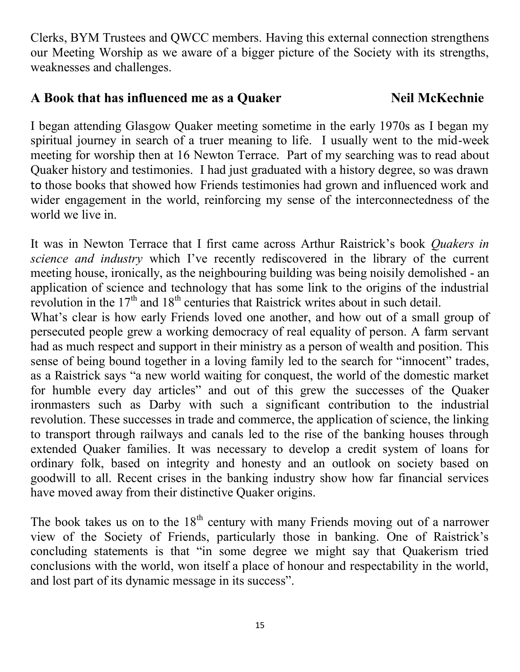Clerks, BYM Trustees and QWCC members. Having this external connection strengthens our Meeting Worship as we aware of a bigger picture of the Society with its strengths, weaknesses and challenges.

#### **A Book that has influenced me as a Quaker Neil McKechnie**

I began attending Glasgow Quaker meeting sometime in the early 1970s as I began my spiritual journey in search of a truer meaning to life. I usually went to the mid-week meeting for worship then at 16 Newton Terrace. Part of my searching was to read about Quaker history and testimonies. I had just graduated with a history degree, so was drawn to those books that showed how Friends testimonies had grown and influenced work and wider engagement in the world, reinforcing my sense of the interconnectedness of the world we live in.

It was in Newton Terrace that I first came across Arthur Raistrick's book *Quakers in science and industry* which I've recently rediscovered in the library of the current meeting house, ironically, as the neighbouring building was being noisily demolished - an application of science and technology that has some link to the origins of the industrial revolution in the  $17<sup>th</sup>$  and  $18<sup>th</sup>$  centuries that Raistrick writes about in such detail.

What's clear is how early Friends loved one another, and how out of a small group of persecuted people grew a working democracy of real equality of person. A farm servant had as much respect and support in their ministry as a person of wealth and position. This sense of being bound together in a loving family led to the search for "innocent" trades, as a Raistrick says "a new world waiting for conquest, the world of the domestic market for humble every day articles" and out of this grew the successes of the Quaker ironmasters such as Darby with such a significant contribution to the industrial revolution. These successes in trade and commerce, the application of science, the linking to transport through railways and canals led to the rise of the banking houses through extended Quaker families. It was necessary to develop a credit system of loans for ordinary folk, based on integrity and honesty and an outlook on society based on goodwill to all. Recent crises in the banking industry show how far financial services have moved away from their distinctive Quaker origins.

The book takes us on to the  $18<sup>th</sup>$  century with many Friends moving out of a narrower view of the Society of Friends, particularly those in banking. One of Raistrick's concluding statements is that "in some degree we might say that Quakerism tried conclusions with the world, won itself a place of honour and respectability in the world, and lost part of its dynamic message in its success".